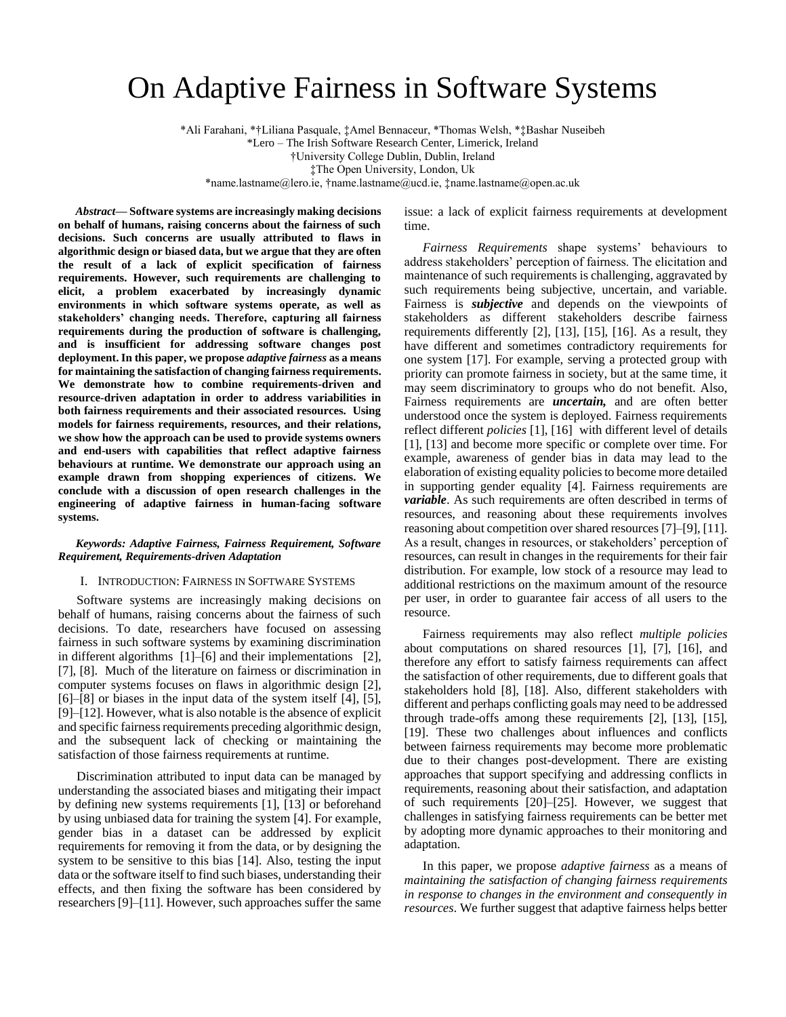# On Adaptive Fairness in Software Systems

\*Ali Farahani, \*†Liliana Pasquale, ‡Amel Bennaceur, \*Thomas Welsh, \*‡Bashar Nuseibeh \*Lero – The Irish Software Research Center, Limerick, Ireland †University College Dublin, Dublin, Ireland ‡The Open University, London, Uk \*name.lastname@lero.ie, †name.lastname@ucd.ie, ‡name.lastname@open.ac.uk

*Abstract***— Software systems are increasingly making decisions on behalf of humans, raising concerns about the fairness of such decisions. Such concerns are usually attributed to flaws in algorithmic design or biased data, but we argue that they are often the result of a lack of explicit specification of fairness requirements. However, such requirements are challenging to elicit, a problem exacerbated by increasingly dynamic environments in which software systems operate, as well as stakeholders' changing needs. Therefore, capturing all fairness requirements during the production of software is challenging, and is insufficient for addressing software changes post deployment. In this paper, we propose** *adaptive fairness* **as a means for maintaining the satisfaction of changing fairness requirements. We demonstrate how to combine requirements-driven and resource-driven adaptation in order to address variabilities in both fairness requirements and their associated resources. Using models for fairness requirements, resources, and their relations, we show how the approach can be used to provide systems owners and end-users with capabilities that reflect adaptive fairness behaviours at runtime. We demonstrate our approach using an example drawn from shopping experiences of citizens. We conclude with a discussion of open research challenges in the engineering of adaptive fairness in human-facing software systems.**

## *Keywords: Adaptive Fairness, Fairness Requirement, Software Requirement, Requirements-driven Adaptation*

#### I. INTRODUCTION: FAIRNESS IN SOFTWARE SYSTEMS

Software systems are increasingly making decisions on behalf of humans, raising concerns about the fairness of such decisions. To date, researchers have focused on assessing fairness in such software systems by examining discrimination in different algorithms [1]–[6] and their implementations [2], [7], [8]. Much of the literature on fairness or discrimination in computer systems focuses on flaws in algorithmic design [2],  $[6]$ – $[8]$  or biases in the input data of the system itself  $[4]$ ,  $[5]$ , [9]–[12]. However, what is also notable is the absence of explicit and specific fairness requirements preceding algorithmic design, and the subsequent lack of checking or maintaining the satisfaction of those fairness requirements at runtime.

Discrimination attributed to input data can be managed by understanding the associated biases and mitigating their impact by defining new systems requirements [1], [13] or beforehand by using unbiased data for training the system [4]. For example, gender bias in a dataset can be addressed by explicit requirements for removing it from the data, or by designing the system to be sensitive to this bias [14]. Also, testing the input data or the software itself to find such biases, understanding their effects, and then fixing the software has been considered by researchers [9]–[11]. However, such approaches suffer the same

issue: a lack of explicit fairness requirements at development time.

*Fairness Requirements* shape systems' behaviours to address stakeholders' perception of fairness. The elicitation and maintenance of such requirements is challenging, aggravated by such requirements being subjective, uncertain, and variable. Fairness is *subjective* and depends on the viewpoints of stakeholders as different stakeholders describe fairness requirements differently [2], [13], [15], [16]. As a result, they have different and sometimes contradictory requirements for one system [17]. For example, serving a protected group with priority can promote fairness in society, but at the same time, it may seem discriminatory to groups who do not benefit. Also, Fairness requirements are *uncertain,* and are often better understood once the system is deployed. Fairness requirements reflect different *policies* [1], [16] with different level of details [1], [13] and become more specific or complete over time. For example, awareness of gender bias in data may lead to the elaboration of existing equality policies to become more detailed in supporting gender equality [4]. Fairness requirements are *variable*. As such requirements are often described in terms of resources, and reasoning about these requirements involves reasoning about competition over shared resources [7]–[9], [11]. As a result, changes in resources, or stakeholders' perception of resources, can result in changes in the requirements for their fair distribution. For example, low stock of a resource may lead to additional restrictions on the maximum amount of the resource per user, in order to guarantee fair access of all users to the resource.

Fairness requirements may also reflect *multiple policies* about computations on shared resources [1], [7], [16], and therefore any effort to satisfy fairness requirements can affect the satisfaction of other requirements, due to different goals that stakeholders hold [8], [18]. Also, different stakeholders with different and perhaps conflicting goals may need to be addressed through trade-offs among these requirements [2], [13], [15], [19]. These two challenges about influences and conflicts between fairness requirements may become more problematic due to their changes post-development. There are existing approaches that support specifying and addressing conflicts in requirements, reasoning about their satisfaction, and adaptation of such requirements [20]–[25]. However, we suggest that challenges in satisfying fairness requirements can be better met by adopting more dynamic approaches to their monitoring and adaptation.

In this paper, we propose *adaptive fairness* as a means of *maintaining the satisfaction of changing fairness requirements in response to changes in the environment and consequently in resources*. We further suggest that adaptive fairness helps better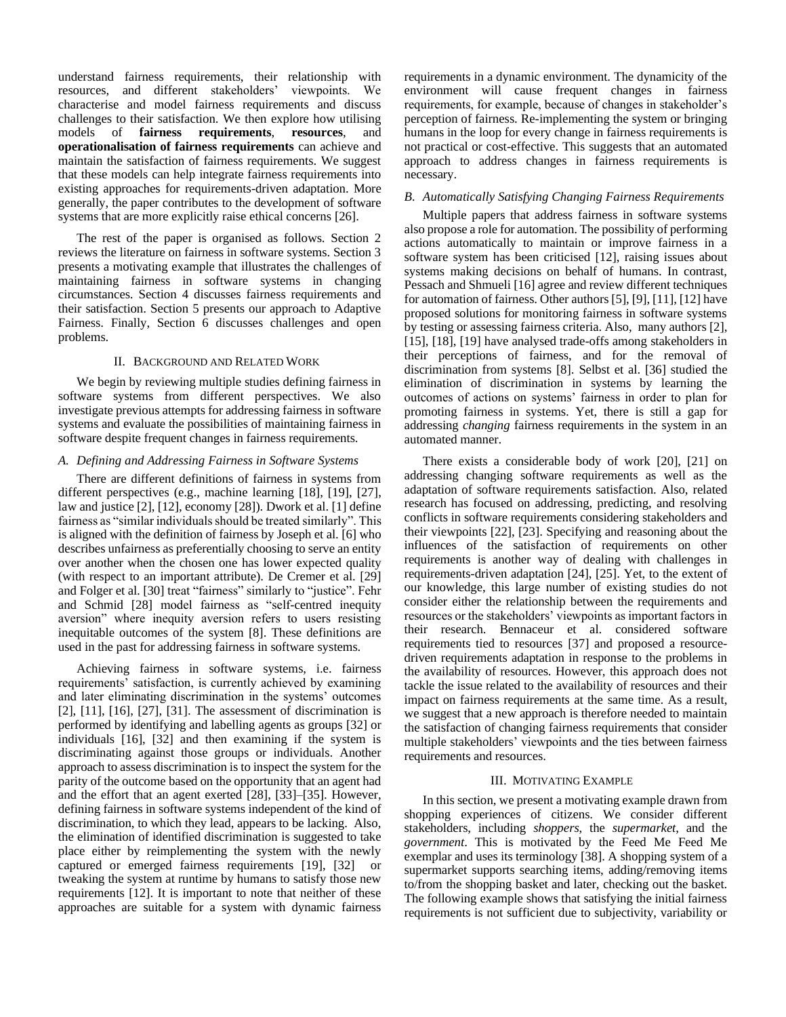understand fairness requirements, their relationship with resources, and different stakeholders' viewpoints. We characterise and model fairness requirements and discuss challenges to their satisfaction. We then explore how utilising models of **fairness requirements**, **resources**, and **operationalisation of fairness requirements** can achieve and maintain the satisfaction of fairness requirements. We suggest that these models can help integrate fairness requirements into existing approaches for requirements-driven adaptation. More generally, the paper contributes to the development of software systems that are more explicitly raise ethical concerns [26].

The rest of the paper is organised as follows. Section 2 reviews the literature on fairness in software systems. Section 3 presents a motivating example that illustrates the challenges of maintaining fairness in software systems in changing circumstances. Section 4 discusses fairness requirements and their satisfaction. Section 5 presents our approach to Adaptive Fairness. Finally, Section 6 discusses challenges and open problems.

#### II. BACKGROUND AND RELATED WORK

We begin by reviewing multiple studies defining fairness in software systems from different perspectives. We also investigate previous attempts for addressing fairness in software systems and evaluate the possibilities of maintaining fairness in software despite frequent changes in fairness requirements.

#### *A. Defining and Addressing Fairness in Software Systems*

There are different definitions of fairness in systems from different perspectives (e.g., machine learning [18], [19], [27], law and justice [2], [12], economy [28]). Dwork et al. [1] define fairness as "similar individuals should be treated similarly". This is aligned with the definition of fairness by Joseph et al. [6] who describes unfairness as preferentially choosing to serve an entity over another when the chosen one has lower expected quality (with respect to an important attribute). De Cremer et al. [29] and Folger et al. [30] treat "fairness" similarly to "justice". Fehr and Schmid [28] model fairness as "self-centred inequity aversion" where inequity aversion refers to users resisting inequitable outcomes of the system [8]. These definitions are used in the past for addressing fairness in software systems.

Achieving fairness in software systems, i.e. fairness requirements' satisfaction, is currently achieved by examining and later eliminating discrimination in the systems' outcomes [2], [11], [16], [27], [31]. The assessment of discrimination is performed by identifying and labelling agents as groups [32] or individuals [16], [32] and then examining if the system is discriminating against those groups or individuals. Another approach to assess discrimination is to inspect the system for the parity of the outcome based on the opportunity that an agent had and the effort that an agent exerted [28], [33]–[35]. However, defining fairness in software systems independent of the kind of discrimination, to which they lead, appears to be lacking. Also, the elimination of identified discrimination is suggested to take place either by reimplementing the system with the newly captured or emerged fairness requirements [19], [32] or tweaking the system at runtime by humans to satisfy those new requirements [12]. It is important to note that neither of these approaches are suitable for a system with dynamic fairness

requirements in a dynamic environment. The dynamicity of the environment will cause frequent changes in fairness requirements, for example, because of changes in stakeholder's perception of fairness. Re-implementing the system or bringing humans in the loop for every change in fairness requirements is not practical or cost-effective. This suggests that an automated approach to address changes in fairness requirements is necessary.

## *B. Automatically Satisfying Changing Fairness Requirements*

Multiple papers that address fairness in software systems also propose a role for automation. The possibility of performing actions automatically to maintain or improve fairness in a software system has been criticised [12], raising issues about systems making decisions on behalf of humans. In contrast, Pessach and Shmueli [16] agree and review different techniques for automation of fairness. Other authors [5], [9], [11], [12] have proposed solutions for monitoring fairness in software systems by testing or assessing fairness criteria. Also, many authors [2], [15], [18], [19] have analysed trade-offs among stakeholders in their perceptions of fairness, and for the removal of discrimination from systems [8]. Selbst et al. [36] studied the elimination of discrimination in systems by learning the outcomes of actions on systems' fairness in order to plan for promoting fairness in systems. Yet, there is still a gap for addressing *changing* fairness requirements in the system in an automated manner.

There exists a considerable body of work [20], [21] on addressing changing software requirements as well as the adaptation of software requirements satisfaction. Also, related research has focused on addressing, predicting, and resolving conflicts in software requirements considering stakeholders and their viewpoints [22], [23]. Specifying and reasoning about the influences of the satisfaction of requirements on other requirements is another way of dealing with challenges in requirements-driven adaptation [24], [25]. Yet, to the extent of our knowledge, this large number of existing studies do not consider either the relationship between the requirements and resources or the stakeholders' viewpoints as important factors in their research. Bennaceur et al. considered software requirements tied to resources [37] and proposed a resourcedriven requirements adaptation in response to the problems in the availability of resources. However, this approach does not tackle the issue related to the availability of resources and their impact on fairness requirements at the same time. As a result, we suggest that a new approach is therefore needed to maintain the satisfaction of changing fairness requirements that consider multiple stakeholders' viewpoints and the ties between fairness requirements and resources.

#### III. MOTIVATING EXAMPLE

In this section, we present a motivating example drawn from shopping experiences of citizens. We consider different stakeholders, including *shoppers*, the *supermarket*, and the *government*. This is motivated by the Feed Me Feed Me exemplar and uses its terminology [38]. A shopping system of a supermarket supports searching items, adding/removing items to/from the shopping basket and later, checking out the basket. The following example shows that satisfying the initial fairness requirements is not sufficient due to subjectivity, variability or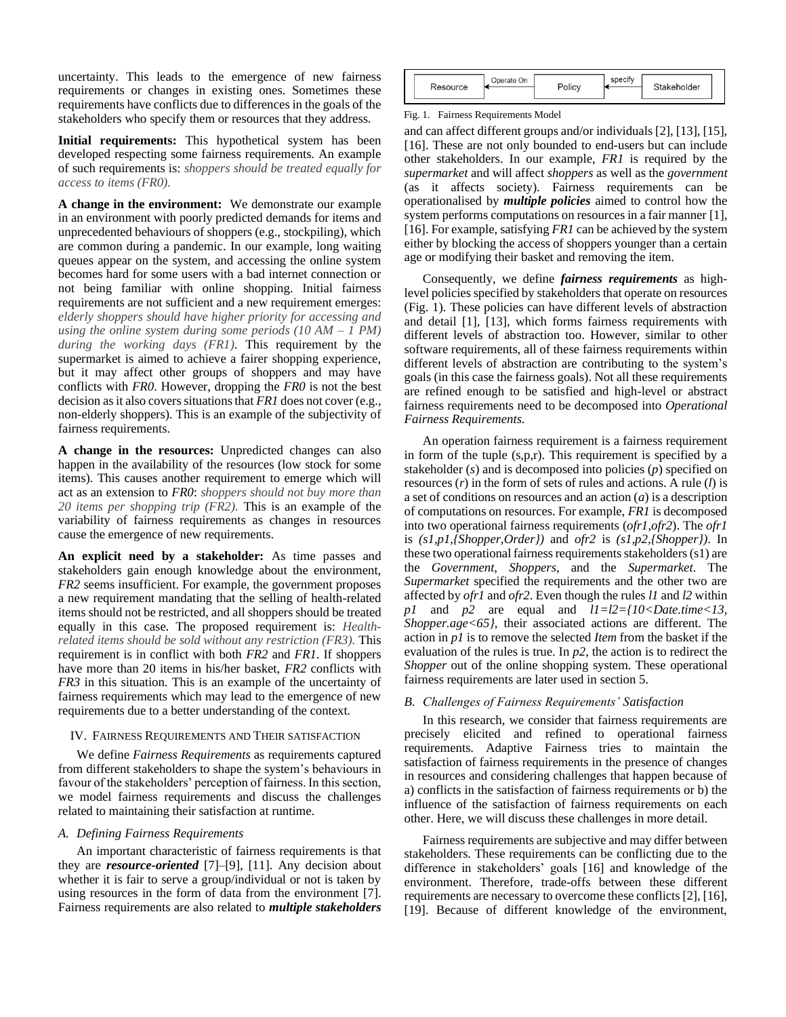uncertainty. This leads to the emergence of new fairness requirements or changes in existing ones. Sometimes these requirements have conflicts due to differences in the goals of the stakeholders who specify them or resources that they address.

**Initial requirements:** This hypothetical system has been developed respecting some fairness requirements. An example of such requirements is: *shoppers should be treated equally for access to items (FR0).* 

**A change in the environment:** We demonstrate our example in an environment with poorly predicted demands for items and unprecedented behaviours of shoppers (e.g., stockpiling), which are common during a pandemic. In our example, long waiting queues appear on the system, and accessing the online system becomes hard for some users with a bad internet connection or not being familiar with online shopping. Initial fairness requirements are not sufficient and a new requirement emerges: *elderly shoppers should have higher priority for accessing and using the online system during some periods (10 AM – 1 PM) during the working days (FR1)*. This requirement by the supermarket is aimed to achieve a fairer shopping experience, but it may affect other groups of shoppers and may have conflicts with *FR0*. However, dropping the *FR0* is not the best decision as it also covers situations that *FR1* does not cover (e.g., non-elderly shoppers). This is an example of the subjectivity of fairness requirements.

**A change in the resources:** Unpredicted changes can also happen in the availability of the resources (low stock for some items). This causes another requirement to emerge which will act as an extension to *FR0*: *shoppers should not buy more than 20 items per shopping trip (FR2).* This is an example of the variability of fairness requirements as changes in resources cause the emergence of new requirements.

**An explicit need by a stakeholder:** As time passes and stakeholders gain enough knowledge about the environment, *FR2* seems insufficient. For example, the government proposes a new requirement mandating that the selling of health-related items should not be restricted, and all shoppers should be treated equally in this case. The proposed requirement is: *Healthrelated items should be sold without any restriction (FR3).* This requirement is in conflict with both *FR2* and *FR1*. If shoppers have more than 20 items in his/her basket, *FR2* conflicts with *FR3* in this situation. This is an example of the uncertainty of fairness requirements which may lead to the emergence of new requirements due to a better understanding of the context.

## IV. FAIRNESS REQUIREMENTS AND THEIR SATISFACTION

We define *Fairness Requirements* as requirements captured from different stakeholders to shape the system's behaviours in favour of the stakeholders' perception of fairness. In this section, we model fairness requirements and discuss the challenges related to maintaining their satisfaction at runtime.

#### *A. Defining Fairness Requirements*

An important characteristic of fairness requirements is that they are *resource-oriented* [7]–[9], [11]. Any decision about whether it is fair to serve a group/individual or not is taken by using resources in the form of data from the environment [7]. Fairness requirements are also related to *multiple stakeholders*

| Resource | Operate On |  | Stakeholder |  |
|----------|------------|--|-------------|--|
|          |            |  |             |  |

Fig. 1. Fairness Requirements Model

and can affect different groups and/or individuals [2], [13], [15], [16]. These are not only bounded to end-users but can include other stakeholders. In our example, *FR1* is required by the *supermarket* and will affect *shoppers* as well as the *government* (as it affects society). Fairness requirements can be operationalised by *multiple policies* aimed to control how the system performs computations on resources in a fair manner [1], [16]. For example, satisfying *FR1* can be achieved by the system either by blocking the access of shoppers younger than a certain age or modifying their basket and removing the item.

Consequently, we define *fairness requirements* as highlevel policies specified by stakeholders that operate on resources (Fig. 1). These policies can have different levels of abstraction and detail [1], [13], which forms fairness requirements with different levels of abstraction too. However, similar to other software requirements, all of these fairness requirements within different levels of abstraction are contributing to the system's goals (in this case the fairness goals). Not all these requirements are refined enough to be satisfied and high-level or abstract fairness requirements need to be decomposed into *Operational Fairness Requirements*.

An operation fairness requirement is a fairness requirement in form of the tuple (s,p,r). This requirement is specified by a stakeholder (*s*) and is decomposed into policies (*p*) specified on resources (*r*) in the form of sets of rules and actions. A rule (*l*) is a set of conditions on resources and an action (*a*) is a description of computations on resources. For example, *FR1* is decomposed into two operational fairness requirements (*ofr1,ofr2*). The *ofr1* is *(s1,p1,{Shopper,Order})* and *ofr2* is *(s1,p2,{Shopper})*. In these two operational fairness requirements stakeholders (s1) are the *Government*, *Shoppers*, and the *Supermarket*. The *Supermarket* specified the requirements and the other two are affected by *ofr1* and *ofr2*. Even though the rules *l1* and *l2* within *p1* and *p2* are equal and *l1=l2={10<Date.time<13, Shopper.age<65}*, their associated actions are different. The action in *p1* is to remove the selected *Item* from the basket if the evaluation of the rules is true. In *p2*, the action is to redirect the *Shopper* out of the online shopping system. These operational fairness requirements are later used in section 5.

## *B. Challenges of Fairness Requirements' Satisfaction*

In this research, we consider that fairness requirements are precisely elicited and refined to operational fairness requirements. Adaptive Fairness tries to maintain the satisfaction of fairness requirements in the presence of changes in resources and considering challenges that happen because of a) conflicts in the satisfaction of fairness requirements or b) the influence of the satisfaction of fairness requirements on each other. Here, we will discuss these challenges in more detail.

Fairness requirements are subjective and may differ between stakeholders. These requirements can be conflicting due to the difference in stakeholders' goals [16] and knowledge of the environment. Therefore, trade-offs between these different requirements are necessary to overcome these conflicts [2], [16], [19]. Because of different knowledge of the environment,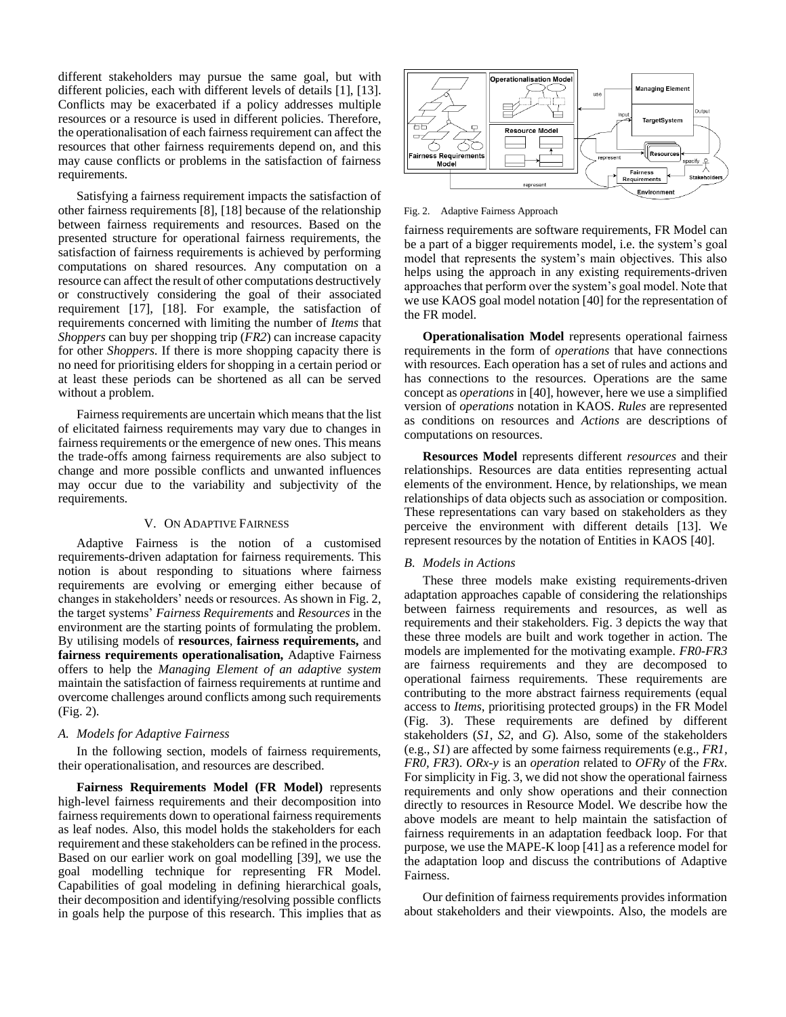different stakeholders may pursue the same goal, but with different policies, each with different levels of details [1], [13]. Conflicts may be exacerbated if a policy addresses multiple resources or a resource is used in different policies. Therefore, the operationalisation of each fairness requirement can affect the resources that other fairness requirements depend on, and this may cause conflicts or problems in the satisfaction of fairness requirements.

Satisfying a fairness requirement impacts the satisfaction of other fairness requirements [8], [18] because of the relationship between fairness requirements and resources. Based on the presented structure for operational fairness requirements, the satisfaction of fairness requirements is achieved by performing computations on shared resources. Any computation on a resource can affect the result of other computations destructively or constructively considering the goal of their associated requirement [17], [18]. For example, the satisfaction of requirements concerned with limiting the number of *Items* that *Shoppers* can buy per shopping trip (*FR2*) can increase capacity for other *Shoppers*. If there is more shopping capacity there is no need for prioritising elders for shopping in a certain period or at least these periods can be shortened as all can be served without a problem.

Fairness requirements are uncertain which means that the list of elicitated fairness requirements may vary due to changes in fairness requirements or the emergence of new ones. This means the trade-offs among fairness requirements are also subject to change and more possible conflicts and unwanted influences may occur due to the variability and subjectivity of the requirements.

## V. ON ADAPTIVE FAIRNESS

Adaptive Fairness is the notion of a customised requirements-driven adaptation for fairness requirements. This notion is about responding to situations where fairness requirements are evolving or emerging either because of changes in stakeholders' needs or resources. As shown in Fig. 2, the target systems' *Fairness Requirements* and *Resources* in the environment are the starting points of formulating the problem. By utilising models of **resources**, **fairness requirements,** and **fairness requirements operationalisation,** Adaptive Fairness offers to help the *Managing Element of an adaptive system*  maintain the satisfaction of fairness requirements at runtime and overcome challenges around conflicts among such requirements (Fig. 2).

## *A. Models for Adaptive Fairness*

In the following section, models of fairness requirements, their operationalisation, and resources are described.

**Fairness Requirements Model (FR Model)** represents high-level fairness requirements and their decomposition into fairness requirements down to operational fairness requirements as leaf nodes. Also, this model holds the stakeholders for each requirement and these stakeholders can be refined in the process. Based on our earlier work on goal modelling [39], we use the goal modelling technique for representing FR Model. Capabilities of goal modeling in defining hierarchical goals, their decomposition and identifying/resolving possible conflicts in goals help the purpose of this research. This implies that as



#### Fig. 2. Adaptive Fairness Approach

fairness requirements are software requirements, FR Model can be a part of a bigger requirements model, i.e. the system's goal model that represents the system's main objectives. This also helps using the approach in any existing requirements-driven approaches that perform over the system's goal model. Note that we use KAOS goal model notation [40] for the representation of the FR model.

**Operationalisation Model** represents operational fairness requirements in the form of *operations* that have connections with resources*.* Each operation has a set of rules and actions and has connections to the resources. Operations are the same concept as *operations* in [40], however, here we use a simplified version of *operations* notation in KAOS. *Rules* are represented as conditions on resources and *Actions* are descriptions of computations on resources.

**Resources Model** represents different *resources* and their relationships. Resources are data entities representing actual elements of the environment. Hence, by relationships, we mean relationships of data objects such as association or composition. These representations can vary based on stakeholders as they perceive the environment with different details [13]. We represent resources by the notation of Entities in KAOS [40].

#### *B. Models in Actions*

These three models make existing requirements-driven adaptation approaches capable of considering the relationships between fairness requirements and resources, as well as requirements and their stakeholders. Fig. 3 depicts the way that these three models are built and work together in action. The models are implemented for the motivating example. *FR0-FR3* are fairness requirements and they are decomposed to operational fairness requirements. These requirements are contributing to the more abstract fairness requirements (equal access to *Items*, prioritising protected groups) in the FR Model (Fig. 3). These requirements are defined by different stakeholders (*S1*, *S2*, and *G*). Also, some of the stakeholders (e.g., *S1*) are affected by some fairness requirements (e.g., *FR1, FR0, FR3*). *ORx-y* is an *operation* related to *OFRy* of the *FRx*. For simplicity in Fig. 3, we did not show the operational fairness requirements and only show operations and their connection directly to resources in Resource Model. We describe how the above models are meant to help maintain the satisfaction of fairness requirements in an adaptation feedback loop. For that purpose, we use the MAPE-K loop [41] as a reference model for the adaptation loop and discuss the contributions of Adaptive Fairness.

Our definition of fairness requirements provides information about stakeholders and their viewpoints. Also, the models are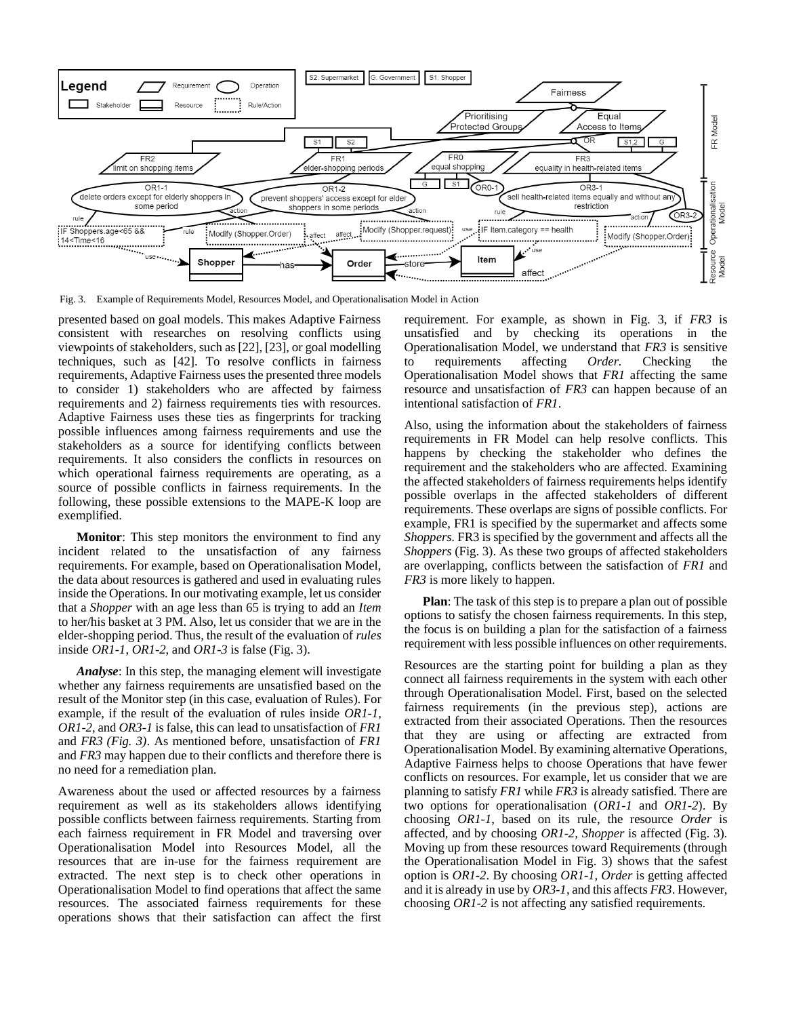

Fig. 3. Example of Requirements Model, Resources Model, and Operationalisation Model in Action

presented based on goal models. This makes Adaptive Fairness consistent with researches on resolving conflicts using viewpoints of stakeholders, such as [22], [23], or goal modelling techniques, such as [42]. To resolve conflicts in fairness requirements, Adaptive Fairness uses the presented three models to consider 1) stakeholders who are affected by fairness requirements and 2) fairness requirements ties with resources. Adaptive Fairness uses these ties as fingerprints for tracking possible influences among fairness requirements and use the stakeholders as a source for identifying conflicts between requirements. It also considers the conflicts in resources on which operational fairness requirements are operating, as a source of possible conflicts in fairness requirements. In the following, these possible extensions to the MAPE-K loop are exemplified.

**Monitor**: This step monitors the environment to find any incident related to the unsatisfaction of any fairness requirements. For example, based on Operationalisation Model, the data about resources is gathered and used in evaluating rules inside the Operations. In our motivating example, let us consider that a *Shopper* with an age less than 65 is trying to add an *Item* to her/his basket at 3 PM. Also, let us consider that we are in the elder-shopping period. Thus, the result of the evaluation of *rules* inside *OR1-1*, *OR1-2*, and *OR1-3* is false (Fig. 3).

*Analyse*: In this step, the managing element will investigate whether any fairness requirements are unsatisfied based on the result of the Monitor step (in this case, evaluation of Rules). For example, if the result of the evaluation of rules inside *OR1-1, OR1-2*, and *OR3-1* is false, this can lead to unsatisfaction of *FR1* and *FR3 (Fig. 3)*. As mentioned before, unsatisfaction of *FR1* and *FR3* may happen due to their conflicts and therefore there is no need for a remediation plan.

Awareness about the used or affected resources by a fairness requirement as well as its stakeholders allows identifying possible conflicts between fairness requirements. Starting from each fairness requirement in FR Model and traversing over Operationalisation Model into Resources Model, all the resources that are in-use for the fairness requirement are extracted. The next step is to check other operations in Operationalisation Model to find operations that affect the same resources. The associated fairness requirements for these operations shows that their satisfaction can affect the first

requirement. For example, as shown in Fig. 3, if *FR3* is unsatisfied and by checking its operations in the Operationalisation Model, we understand that *FR3* is sensitive to requirements affecting *Order.* Checking the Operationalisation Model shows that *FR1* affecting the same resource and unsatisfaction of *FR3* can happen because of an intentional satisfaction of *FR1*.

Also, using the information about the stakeholders of fairness requirements in FR Model can help resolve conflicts. This happens by checking the stakeholder who defines the requirement and the stakeholders who are affected. Examining the affected stakeholders of fairness requirements helps identify possible overlaps in the affected stakeholders of different requirements. These overlaps are signs of possible conflicts. For example, FR1 is specified by the supermarket and affects some *Shoppers*. FR3 is specified by the government and affects all the *Shoppers* (Fig. 3). As these two groups of affected stakeholders are overlapping, conflicts between the satisfaction of *FR1* and *FR3* is more likely to happen.

**Plan**: The task of this step is to prepare a plan out of possible options to satisfy the chosen fairness requirements. In this step, the focus is on building a plan for the satisfaction of a fairness requirement with less possible influences on other requirements.

Resources are the starting point for building a plan as they connect all fairness requirements in the system with each other through Operationalisation Model. First, based on the selected fairness requirements (in the previous step), actions are extracted from their associated Operations. Then the resources that they are using or affecting are extracted from Operationalisation Model. By examining alternative Operations, Adaptive Fairness helps to choose Operations that have fewer conflicts on resources. For example, let us consider that we are planning to satisfy *FR1* while *FR3* is already satisfied. There are two options for operationalisation (*OR1-1* and *OR1-2*). By choosing *OR1-1*, based on its rule, the resource *Order* is affected, and by choosing *OR1-2*, *Shopper* is affected (Fig. 3). Moving up from these resources toward Requirements (through the Operationalisation Model in Fig. 3) shows that the safest option is *OR1-2*. By choosing *OR1-1, Order* is getting affected and it is already in use by *OR3-1,* and this affects *FR3*. However, choosing *OR1-2* is not affecting any satisfied requirements.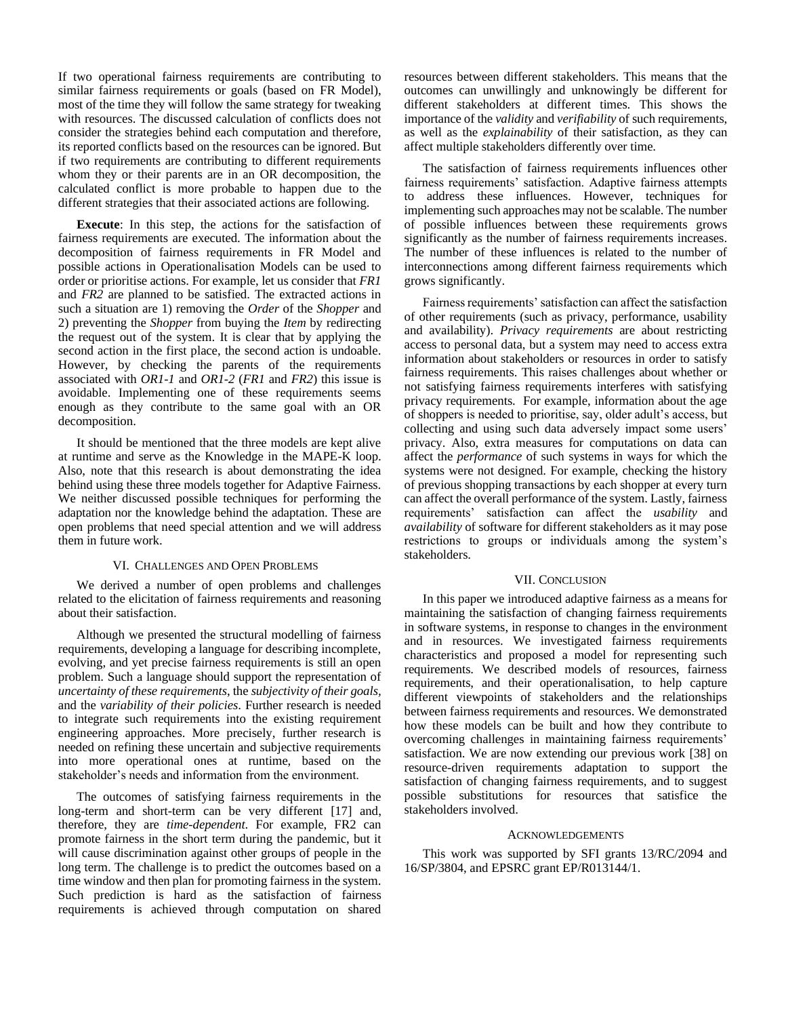If two operational fairness requirements are contributing to similar fairness requirements or goals (based on FR Model), most of the time they will follow the same strategy for tweaking with resources. The discussed calculation of conflicts does not consider the strategies behind each computation and therefore, its reported conflicts based on the resources can be ignored. But if two requirements are contributing to different requirements whom they or their parents are in an OR decomposition, the calculated conflict is more probable to happen due to the different strategies that their associated actions are following.

**Execute**: In this step, the actions for the satisfaction of fairness requirements are executed. The information about the decomposition of fairness requirements in FR Model and possible actions in Operationalisation Models can be used to order or prioritise actions. For example, let us consider that *FR1* and *FR2* are planned to be satisfied. The extracted actions in such a situation are 1) removing the *Order* of the *Shopper* and 2) preventing the *Shopper* from buying the *Item* by redirecting the request out of the system. It is clear that by applying the second action in the first place, the second action is undoable. However, by checking the parents of the requirements associated with *OR1-1* and *OR1-2* (*FR1* and *FR2*) this issue is avoidable. Implementing one of these requirements seems enough as they contribute to the same goal with an OR decomposition.

It should be mentioned that the three models are kept alive at runtime and serve as the Knowledge in the MAPE-K loop. Also, note that this research is about demonstrating the idea behind using these three models together for Adaptive Fairness. We neither discussed possible techniques for performing the adaptation nor the knowledge behind the adaptation. These are open problems that need special attention and we will address them in future work.

#### VI. CHALLENGES AND OPEN PROBLEMS

We derived a number of open problems and challenges related to the elicitation of fairness requirements and reasoning about their satisfaction.

Although we presented the structural modelling of fairness requirements, developing a language for describing incomplete, evolving, and yet precise fairness requirements is still an open problem. Such a language should support the representation of *uncertainty of these requirements*, the *subjectivity of their goals,* and the *variability of their policies*. Further research is needed to integrate such requirements into the existing requirement engineering approaches. More precisely, further research is needed on refining these uncertain and subjective requirements into more operational ones at runtime, based on the stakeholder's needs and information from the environment.

The outcomes of satisfying fairness requirements in the long-term and short-term can be very different [17] and, therefore, they are *time-dependent*. For example, FR2 can promote fairness in the short term during the pandemic, but it will cause discrimination against other groups of people in the long term. The challenge is to predict the outcomes based on a time window and then plan for promoting fairness in the system. Such prediction is hard as the satisfaction of fairness requirements is achieved through computation on shared

resources between different stakeholders. This means that the outcomes can unwillingly and unknowingly be different for different stakeholders at different times. This shows the importance of the *validity* and *verifiability* of such requirements, as well as the *explainability* of their satisfaction, as they can affect multiple stakeholders differently over time.

The satisfaction of fairness requirements influences other fairness requirements' satisfaction. Adaptive fairness attempts to address these influences. However, techniques for implementing such approaches may not be scalable. The number of possible influences between these requirements grows significantly as the number of fairness requirements increases. The number of these influences is related to the number of interconnections among different fairness requirements which grows significantly.

Fairness requirements' satisfaction can affect the satisfaction of other requirements (such as privacy, performance, usability and availability). *Privacy requirements* are about restricting access to personal data, but a system may need to access extra information about stakeholders or resources in order to satisfy fairness requirements. This raises challenges about whether or not satisfying fairness requirements interferes with satisfying privacy requirements. For example, information about the age of shoppers is needed to prioritise, say, older adult's access, but collecting and using such data adversely impact some users' privacy. Also, extra measures for computations on data can affect the *performance* of such systems in ways for which the systems were not designed. For example, checking the history of previous shopping transactions by each shopper at every turn can affect the overall performance of the system. Lastly, fairness requirements' satisfaction can affect the *usability* and *availability* of software for different stakeholders as it may pose restrictions to groups or individuals among the system's stakeholders.

#### VII. CONCLUSION

In this paper we introduced adaptive fairness as a means for maintaining the satisfaction of changing fairness requirements in software systems, in response to changes in the environment and in resources. We investigated fairness requirements characteristics and proposed a model for representing such requirements. We described models of resources, fairness requirements, and their operationalisation, to help capture different viewpoints of stakeholders and the relationships between fairness requirements and resources. We demonstrated how these models can be built and how they contribute to overcoming challenges in maintaining fairness requirements' satisfaction. We are now extending our previous work [38] on resource-driven requirements adaptation to support the satisfaction of changing fairness requirements, and to suggest possible substitutions for resources that satisfice the stakeholders involved.

#### ACKNOWLEDGEMENTS

This work was supported by SFI grants 13/RC/2094 and 16/SP/3804, and EPSRC grant EP/R013144/1.